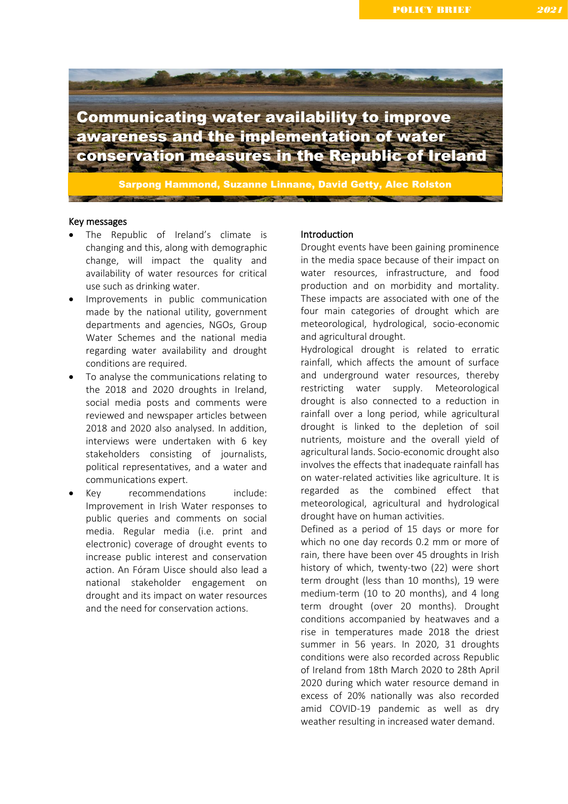

### Key messages

- The Republic of Ireland's climate is changing and this, along with demographic change, will impact the quality and availability of water resources for critical use such as drinking water.
- Improvements in public communication made by the national utility, government departments and agencies, NGOs, Group Water Schemes and the national media regarding water availability and drought conditions are required.
- To analyse the communications relating to the 2018 and 2020 droughts in Ireland, social media posts and comments were reviewed and newspaper articles between 2018 and 2020 also analysed. In addition, interviews were undertaken with 6 key stakeholders consisting of journalists, political representatives, and a water and communications expert.
- Key recommendations include: Improvement in Irish Water responses to public queries and comments on social media. Regular media (i.e. print and electronic) coverage of drought events to increase public interest and conservation action. An Fóram Uisce should also lead a national stakeholder engagement on drought and its impact on water resources and the need for conservation actions.

# Introduction

Drought events have been gaining prominence in the media space because of their impact on water resources, infrastructure, and food production and on morbidity and mortality. These impacts are associated with one of the four main categories of drought which are meteorological, hydrological, socio-economic and agricultural drought.

Hydrological drought is related to erratic rainfall, which affects the amount of surface and underground water resources, thereby restricting water supply. Meteorological drought is also connected to a reduction in rainfall over a long period, while agricultural drought is linked to the depletion of soil nutrients, moisture and the overall yield of agricultural lands. Socio-economic drought also involves the effects that inadequate rainfall has on water-related activities like agriculture. It is regarded as the combined effect that meteorological, agricultural and hydrological drought have on human activities.

Defined as a period of 15 days or more for which no one day records 0.2 mm or more of rain, there have been over 45 droughts in Irish history of which, twenty-two (22) were short term drought (less than 10 months), 19 were medium-term (10 to 20 months), and 4 long term drought (over 20 months). Drought conditions accompanied by heatwaves and a rise in temperatures made 2018 the driest summer in 56 years. In 2020, 31 droughts conditions were also recorded across Republic of Ireland from 18th March 2020 to 28th April 2020 during which water resource demand in excess of 20% nationally was also recorded amid COVID-19 pandemic as well as dry weather resulting in increased water demand.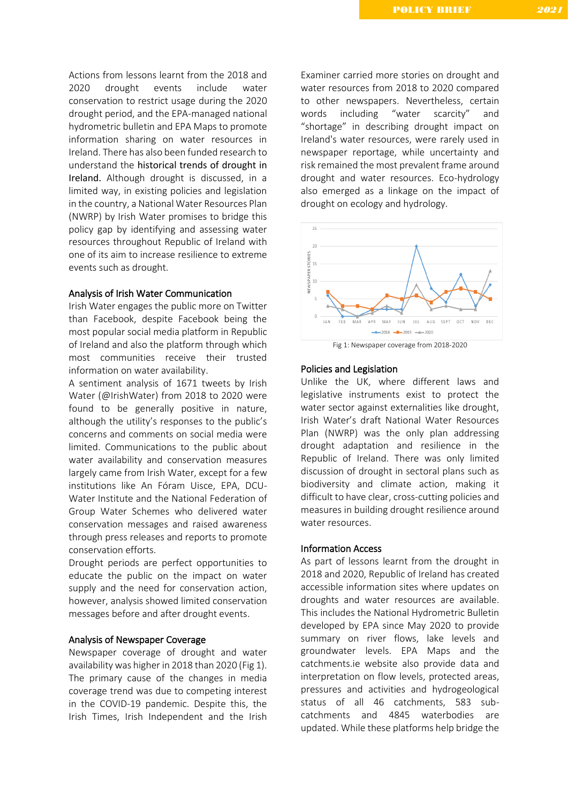Actions from lessons learnt from the 2018 and 2020 drought events include water conservation to restrict usage during the 2020 drought period, and the EPA-managed national hydrometric bulletin and EPA Maps to promote information sharing on water resources in Ireland. There has also been funded research to understand the historical trends of drought in Ireland. Although drought is discussed, in a limited way, in existing policies and legislation in the country, a National Water Resources Plan (NWRP) by Irish Water promises to bridge this policy gap by identifying and assessing water resources throughout Republic of Ireland with one of its aim to increase resilience to extreme events such as drought.

# Analysis of Irish Water Communication

Irish Water engages the public more on Twitter than Facebook, despite Facebook being the most popular social media platform in Republic of Ireland and also the platform through which most communities receive their trusted information on water availability.

A sentiment analysis of 1671 tweets by Irish Water (@IrishWater) from 2018 to 2020 were found to be generally positive in nature, although the utility's responses to the public's concerns and comments on social media were limited. Communications to the public about water availability and conservation measures largely came from Irish Water, except for a few institutions like An Fóram Uisce, EPA, DCU-Water Institute and the National Federation of Group Water Schemes who delivered water conservation messages and raised awareness through press releases and reports to promote conservation efforts.

Drought periods are perfect opportunities to educate the public on the impact on water supply and the need for conservation action, however, analysis showed limited conservation messages before and after drought events.

# Analysis of Newspaper Coverage

Newspaper coverage of drought and water availability was higher in 2018 than 2020 (Fig 1). The primary cause of the changes in media coverage trend was due to competing interest in the COVID-19 pandemic. Despite this, the Irish Times, Irish Independent and the Irish Examiner carried more stories on drought and water resources from 2018 to 2020 compared to other newspapers. Nevertheless, certain words including "water scarcity" and "shortage" in describing drought impact on Ireland's water resources, were rarely used in newspaper reportage, while uncertainty and risk remained the most prevalent frame around drought and water resources. Eco-hydrology also emerged as a linkage on the impact of drought on ecology and hydrology.



#### Policies and Legislation

Unlike the UK, where different laws and legislative instruments exist to protect the water sector against externalities like drought, Irish Water's draft National Water Resources Plan (NWRP) was the only plan addressing drought adaptation and resilience in the Republic of Ireland. There was only limited discussion of drought in sectoral plans such as biodiversity and climate action, making it difficult to have clear, cross-cutting policies and measures in building drought resilience around water resources.

### Information Access

As part of lessons learnt from the drought in 2018 and 2020, Republic of Ireland has created accessible information sites where updates on droughts and water resources are available. This includes the National Hydrometric Bulletin developed by EPA since May 2020 to provide summary on river flows, lake levels and groundwater levels. EPA Maps and the catchments.ie website also provide data and interpretation on flow levels, protected areas, pressures and activities and hydrogeological status of all 46 catchments, 583 subcatchments and 4845 waterbodies are updated. While these platforms help bridge the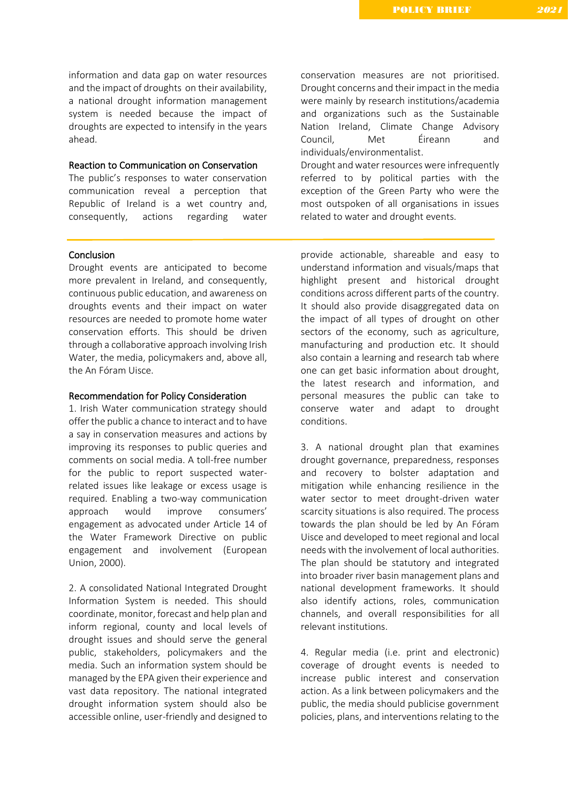information and data gap on water resources and the impact of droughts on their availability, a national drought information management system is needed because the impact of droughts are expected to intensify in the years ahead.

# Reaction to Communication on Conservation

The public's responses to water conservation communication reveal a perception that Republic of Ireland is a wet country and, consequently, actions regarding water

# Conclusion

Drought events are anticipated to become more prevalent in Ireland, and consequently, continuous public education, and awareness on droughts events and their impact on water resources are needed to promote home water conservation efforts. This should be driven through a collaborative approach involving Irish Water, the media, policymakers and, above all, the An Fóram Uisce.

### Recommendation for Policy Consideration

1. Irish Water communication strategy should offer the public a chance to interact and to have a say in conservation measures and actions by improving its responses to public queries and comments on social media. A toll-free number for the public to report suspected waterrelated issues like leakage or excess usage is required. Enabling a two-way communication approach would improve consumers' engagement as advocated under Article 14 of the Water Framework Directive on public engagement and involvement (European Union, 2000).

2. A consolidated National Integrated Drought Information System is needed. This should coordinate, monitor, forecast and help plan and inform regional, county and local levels of drought issues and should serve the general public, stakeholders, policymakers and the media. Such an information system should be managed by the EPA given their experience and vast data repository. The national integrated drought information system should also be accessible online, user-friendly and designed to conservation measures are not prioritised. Drought concerns and their impact in the media were mainly by research institutions/academia and organizations such as the Sustainable Nation Ireland, Climate Change Advisory Council, Met Éireann and individuals/environmentalist.

Drought and water resources were infrequently referred to by political parties with the exception of the Green Party who were the most outspoken of all organisations in issues related to water and drought events.

provide actionable, shareable and easy to understand information and visuals/maps that highlight present and historical drought conditions across different parts of the country. It should also provide disaggregated data on the impact of all types of drought on other sectors of the economy, such as agriculture, manufacturing and production etc. It should also contain a learning and research tab where one can get basic information about drought, the latest research and information, and personal measures the public can take to conserve water and adapt to drought conditions.

3. A national drought plan that examines drought governance, preparedness, responses and recovery to bolster adaptation and mitigation while enhancing resilience in the water sector to meet drought-driven water scarcity situations is also required. The process towards the plan should be led by An Fóram Uisce and developed to meet regional and local needs with the involvement of local authorities. The plan should be statutory and integrated into broader river basin management plans and national development frameworks. It should also identify actions, roles, communication channels, and overall responsibilities for all relevant institutions.

4. Regular media (i.e. print and electronic) coverage of drought events is needed to increase public interest and conservation action. As a link between policymakers and the public, the media should publicise government policies, plans, and interventions relating to the